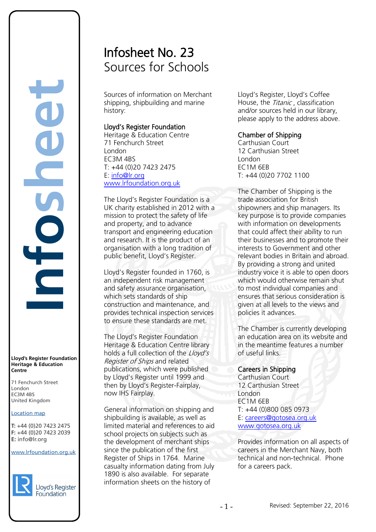# **Infosheet** rd's Register Foundat<br>
itage & Education<br>
tre<br>
Eenchurch Street<br>
don<br>
M 4BS<br>
ted Kingdom<br>
ation map<br>
44 (0)20 7423 2475<br>
44 (0)20 7423 2039<br>
nfo@lr.org

#### **Lloyd's Register Foundation Heritage & Education Centre**

71 Fenchurch Street London Information Services EC3M 4BS United Kingdom

#### Location map

T: +44 (0)20 7423 2475 **F:** +44 (0)20 7423 2039 Fax: +44 (0)20 7423 2039 **E:** info@lr.org  $F \rightarrow (0/20, 1 + 2)$ 

EC3M 4BS

#### www.lrfoundation.org.uk



# Infosheet No. 23 Sources for Schools

Sources of information on Merchant shipping, shipbuilding and marine history:

#### Lloyd's Register Foundation

Heritage & Education Centre 71 Fenchurch Street London EC3M 4BS T: +44 (0)20 7423 2475 E: [info@lr.org](mailto:info@lr.org)  [www.lrfoundation.org.uk](http://www.lrfoundation.org.uk/) 

The Lloyd's Register Foundation is a UK charity established in 2012 with a mission to protect the safety of life and property, and to advance transport and engineering education and research. It is the product of an organisation with a long tradition of public benefit, Lloyd's Register.

Lloyd's Register founded in 1760, is an independent risk management and safety assurance organisation, which sets standards of ship construction and maintenance, and provides technical inspection services to ensure these standards are met.

The Lloyd's Register Foundation Heritage & Education Centre library holds a full collection of the *Lloyd's* Register of Ships and related publications, which were published by Lloyd's Register until 1999 and then by Lloyd's Register-Fairplay, now IHS Fairplay.

General information on shipping and shipbuilding is available, as well as limited material and references to aid school projects on subjects such as the development of merchant ships since the publication of the first Register of Ships in 1764. Marine casualty information dating from July 1890 is also available. For separate information sheets on the history of

Lloyd's Register, Lloyd's Coffee House, the *Titanic*, classification and/or sources held in our library, please apply to the address above.

### Chamber of Shipping

Carthusian Court 12 Carthusian Street London EC1M 6EB T: +44 (0)20 7702 1100

The Chamber of Shipping is the trade association for British shipowners and ship managers. Its key purpose is to provide companies with information on developments that could affect their ability to run their businesses and to promote their interests to Government and other relevant bodies in Britain and abroad. By providing a strong and united industry voice it is able to open doors which would otherwise remain shut to most individual companies and ensures that serious consideration is given at all levels to the views and policies it advances.

The Chamber is currently developing an education area on its website and in the meantime features a number of useful links.

# Careers in Shipping

Carthusian Court 12 Carthusian Street London EC1M 6EB T: +44 (0)800 085 0973 E: [careers@gotosea.org.uk](mailto:careers@gotosea.org.uk)  [www.gotosea.org.uk](http://www.gotosea.org.uk/) 

Provides information on all aspects of careers in the Merchant Navy, both technical and non-technical. Phone for a careers pack.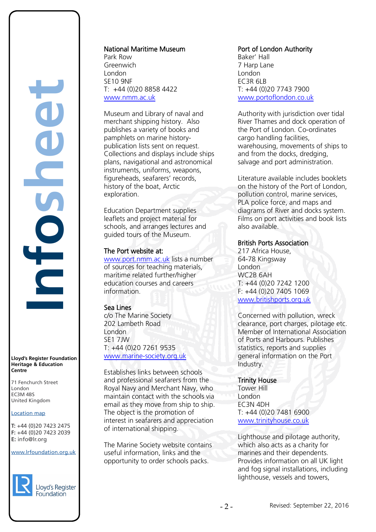**Infosheet** rd's Register Foundat<br>
itage & Education<br>
tre<br>
Eenchurch Street<br>
don<br>
M 4BS<br>
ted Kingdom<br>
ation map<br>
44 (0)20 7423 2475<br>
44 (0)20 7423 2039<br>
nfo@lr.org E

**Lloyd's Register Foundation Heritage & Education Centre**

71 Fenchurch Street London Information Services EC3M 4BS United Kingdom EC3M 4BS

#### Location map

T: +44 (0)20 7423 2475 **F:** +44 (0)20 7423 2039 Fax: +44 (0)20 7423 2039 **E:** info@lr.org  $F \rightarrow (0/20, 1 + 2)$ 

www.lrfoundation.org.uk



### National Maritime Museum

Park Row Greenwich London SE10 9NF T: +44 (0)20 8858 4422 [www.nmm.ac.uk](http://www.nmm.ac.uk/) 

Museum and Library of naval and merchant shipping history. Also publishes a variety of books and pamphlets on marine historypublication lists sent on request. Collections and displays include ships plans, navigational and astronomical instruments, uniforms, weapons, figureheads, seafarers' records, history of the boat, Arctic exploration.

Education Department supplies leaflets and project material for schools, and arranges lectures and guided tours of the Museum.

### The Port website at:

[www.port.nmm.ac.uk](http://www.port.nmm.ac.uk/) lists a number of sources for teaching materials, maritime related further/higher education courses and careers information.

# Sea Lines

c/o The Marine Society 202 Lambeth Road London SE1 7JW T: +44 (0)20 7261 9535 [www.marine-society.org.uk](http://www.marine-society.org.uk/) 

Establishes links between schools and professional seafarers from the Royal Navy and Merchant Navy, who maintain contact with the schools via email as they move from ship to ship. The object is the promotion of interest in seafarers and appreciation of international shipping.

The Marine Society website contains useful information, links and the opportunity to order schools packs.

# Port of London Authority

Baker' Hall 7 Harp Lane London EC3R 6LB T: +44 (0)20 7743 7900 [www.portoflondon.co.uk](http://www.portoflondon.co.uk/) 

Authority with jurisdiction over tidal River Thames and dock operation of the Port of London. Co-ordinates cargo handling facilities, warehousing, movements of ships to and from the docks, dredging, salvage and port administration.

Literature available includes booklets on the history of the Port of London, pollution control, marine services, PLA police force, and maps and diagrams of River and docks system. Films on port activities and book lists also available.

# British Ports Association

217 Africa House, 64-78 Kingsway London WC2B 6AH T: +44 (0)20 7242 1200 F: +44 (0)20 7405 1069 [www.britishports.org.uk](http://www.britishports.org.uk/) 

Concerned with pollution, wreck clearance, port charges, pilotage etc. Member of International Association of Ports and Harbours. Publishes statistics, reports and supplies general information on the Port Industry.

# Trinity House

Tower Hill London EC3N 4DH T: +44 (0)20 7481 6900 [www.trinityhouse.co.uk](http://www.trinityhouse.co.uk/) 

Lighthouse and pilotage authority, which also acts as a charity for marines and their dependents. Provides information on all UK light and fog signal installations, including lighthouse, vessels and towers,